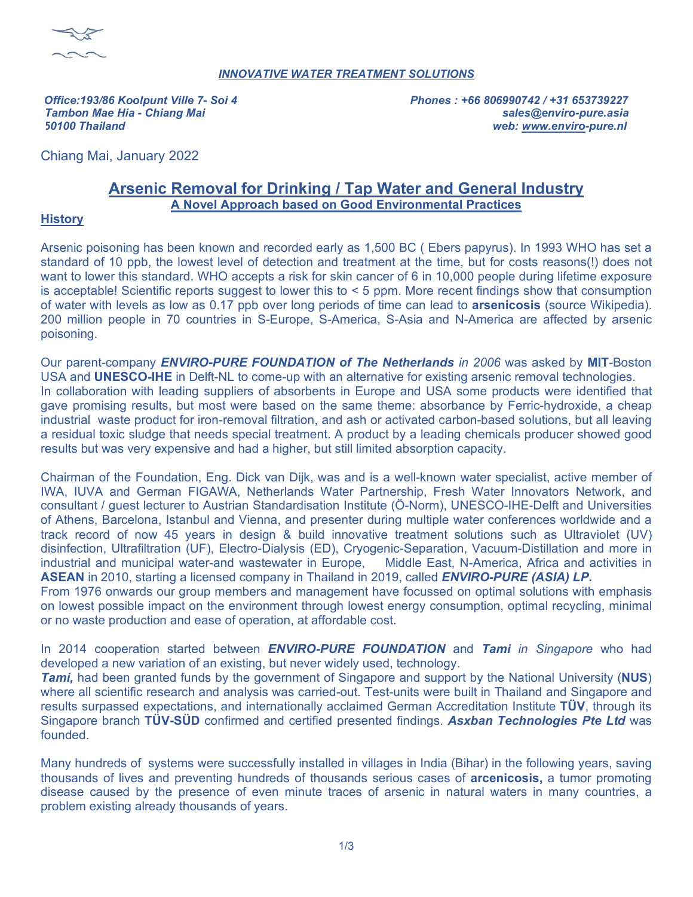

## *INNOVATIVE WATER TREATMENT SOLUTIONS*

*Office:193/86 Koolpunt Ville 7- Soi 4 Phones : +66 806990742 / +31 653739227 tTambon Mae Hia - Chiang Mai sales@enviro-pure.asia 50100 Thailand web: [www.enviro-](http://www.enviro/)pure.nl*

Chiang Mai, January 2022

# **Arsenic Removal for Drinking / Tap Water and General Industry A Novel Approach based on Good Environmental Practices**

## **History**

Arsenic poisoning has been known and recorded early as 1,500 BC ( Ebers papyrus). In 1993 WHO has set a standard of 10 ppb, the lowest level of detection and treatment at the time, but for costs reasons(!) does not want to lower this standard. WHO accepts a risk for skin cancer of 6 in 10,000 people during lifetime exposure is acceptable! Scientific reports suggest to lower this to < 5 ppm. More recent findings show that consumption of water with levels as low as 0.17 ppb over long periods of time can lead to **arsenicosis** (source Wikipedia). 200 million people in 70 countries in S-Europe, S-America, S-Asia and N-America are affected by arsenic poisoning.

Our parent-company *ENVIRO-PURE FOUNDATION of The Netherlands in 2006* was asked by **MIT**-Boston USA and **UNESCO-IHE** in Delft-NL to come-up with an alternative for existing arsenic removal technologies. In collaboration with leading suppliers of absorbents in Europe and USA some products were identified that gave promising results, but most were based on the same theme: absorbance by Ferric-hydroxide, a cheap industrial waste product for iron-removal filtration, and ash or activated carbon-based solutions, but all leaving a residual toxic sludge that needs special treatment. A product by a leading chemicals producer showed good results but was very expensive and had a higher, but still limited absorption capacity.

Chairman of the Foundation, Eng. Dick van Dijk, was and is a well-known water specialist, active member of IWA, IUVA and German FIGAWA, Netherlands Water Partnership, Fresh Water Innovators Network, and consultant / guest lecturer to Austrian Standardisation Institute (Ö-Norm), UNESCO-IHE-Delft and Universities of Athens, Barcelona, Istanbul and Vienna, and presenter during multiple water conferences worldwide and a track record of now 45 years in design & build innovative treatment solutions such as Ultraviolet (UV) disinfection, Ultrafiltration (UF), Electro-Dialysis (ED), Cryogenic-Separation, Vacuum-Distillation and more in industrial and municipal water-and wastewater in Europe, Middle East, N-America, Africa and activities in **ASEAN** in 2010, starting a licensed company in Thailand in 2019, called *ENVIRO-PURE (ASIA) LP.* From 1976 onwards our group members and management have focussed on optimal solutions with emphasis on lowest possible impact on the environment through lowest energy consumption, optimal recycling, minimal

or no waste production and ease of operation, at affordable cost.

In 2014 cooperation started between *ENVIRO-PURE FOUNDATION* and *Tami in Singapore* who had developed a new variation of an existing, but never widely used, technology.

*Tami,* had been granted funds by the government of Singapore and support by the National University (**NUS**) where all scientific research and analysis was carried-out. Test-units were built in Thailand and Singapore and results surpassed expectations, and internationally acclaimed German Accreditation Institute **TÜV**, through its Singapore branch **TÜV-SÜD** confirmed and certified presented findings. *Asxban Technologies Pte Ltd* was founded.

Many hundreds of systems were successfully installed in villages in India (Bihar) in the following years, saving thousands of lives and preventing hundreds of thousands serious cases of **arcenicosis,** a tumor promoting disease caused by the presence of even minute traces of arsenic in natural waters in many countries, a problem existing already thousands of years.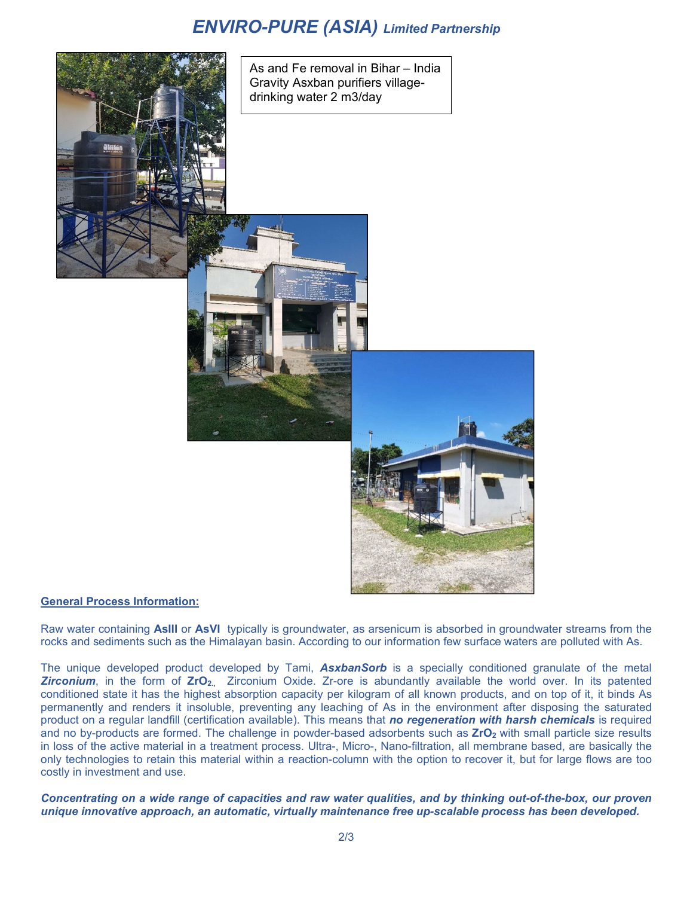# *ENVIRO-PURE (ASIA) Limited Partnership*



As and Fe removal in Bihar – India Gravity Asxban purifiers villagedrinking water 2 m3/day



Raw water containing **AsIII** or **AsVI** typically is groundwater, as arsenicum is absorbed in groundwater streams from the rocks and sediments such as the Himalayan basin. According to our information few surface waters are polluted with As.

The unique developed product developed by Tami, *AsxbanSorb* is a specially conditioned granulate of the metal *Zirconium*, in the form of **ZrO2.,** Zirconium Oxide. Zr-ore is abundantly available the world over. In its patented conditioned state it has the highest absorption capacity per kilogram of all known products, and on top of it, it binds As permanently and renders it insoluble, preventing any leaching of As in the environment after disposing the saturated product on a regular landfill (certification available). This means that *no regeneration with harsh chemicals* is required and no by-products are formed. The challenge in powder-based adsorbents such as **ZrO**<sub>2</sub> with small particle size results in loss of the active material in a treatment process. Ultra-, Micro-, Nano-filtration, all membrane based, are basically the only technologies to retain this material within a reaction-column with the option to recover it, but for large flows are too costly in investment and use.

*Concentrating on a wide range of capacities and raw water qualities, and by thinking out-of-the-box, our proven unique innovative approach, an automatic, virtually maintenance free up-scalable process has been developed.*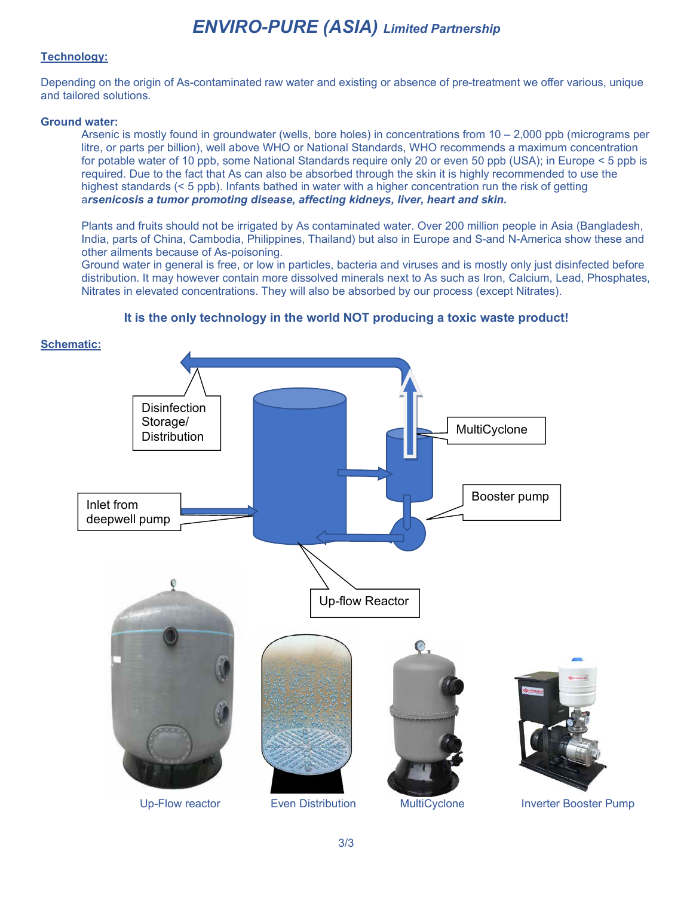# *ENVIRO-PURE (ASIA) Limited Partnership*

## **Technology:**

Depending on the origin of As-contaminated raw water and existing or absence of pre-treatment we offer various, unique and tailored solutions.

#### **Ground water:**

Arsenic is mostly found in groundwater (wells, bore holes) in concentrations from  $10 - 2,000$  ppb (micrograms per litre, or parts per billion), well above WHO or National Standards, WHO recommends a maximum concentration for potable water of 10 ppb, some National Standards require only 20 or even 50 ppb (USA); in Europe < 5 ppb is required. Due to the fact that As can also be absorbed through the skin it is highly recommended to use the highest standards (< 5 ppb). Infants bathed in water with a higher concentration run the risk of getting a*rsenicosis a tumor promoting disease, affecting kidneys, liver, heart and skin.*

Plants and fruits should not be irrigated by As contaminated water. Over 200 million people in Asia (Bangladesh, India, parts of China, Cambodia, Philippines, Thailand) but also in Europe and S-and N-America show these and other ailments because of As-poisoning.

Ground water in general is free, or low in particles, bacteria and viruses and is mostly only just disinfected before distribution. It may however contain more dissolved minerals next to As such as Iron, Calcium, Lead, Phosphates, Nitrates in elevated concentrations. They will also be absorbed by our process (except Nitrates).



### **It is the only technology in the world NOT producing a toxic waste product!**